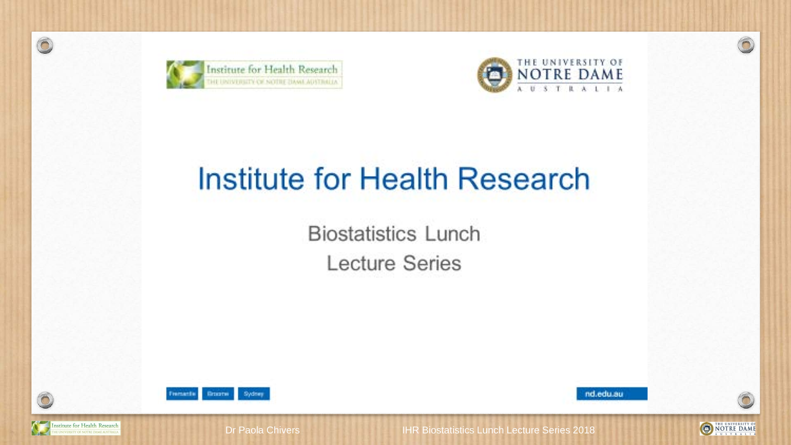



# Institute for Health Research

**Biostatistics Lunch Lecture Series** 



 $\circledcirc$ 



Sydney





 $\bigcap$ 



Dr Paola Chivers **IHR Biostatistics Lunch Lecture Series 2018** 

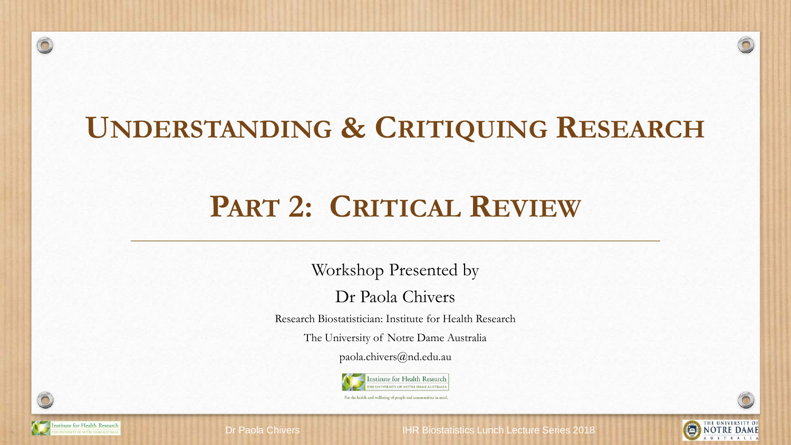## **UNDERSTANDING & CRITIQUING RESEARCH**

## **PART 2: CRITICAL REVIEW**

Workshop Presented by

Dr Paola Chivers

Research Biostatistician: Institute for Health Research

The University of Notre Dame Australia

paola.chivers@nd.edu.au





 $\circledcirc$ 

for Health Research

Dr Paola Chivers **IHR Biostatistics Lunch Lecture Series** 2018



C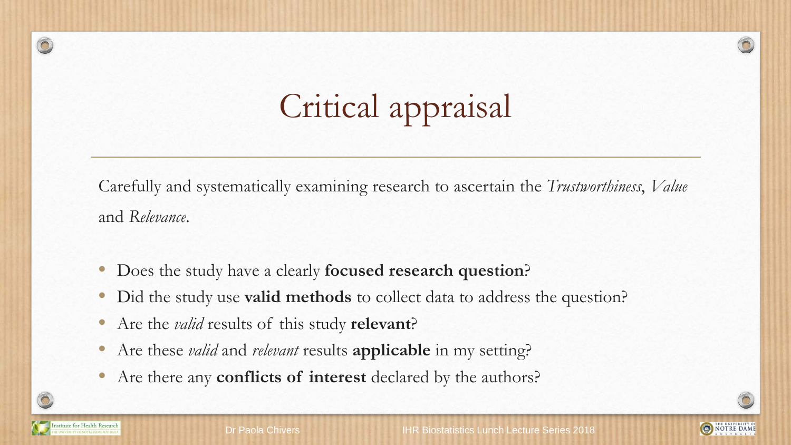# Critical appraisal

Carefully and systematically examining research to ascertain the *Trustworthiness*, *Value* and *Relevance*.

- Does the study have a clearly **focused research question**?
- Did the study use **valid methods** to collect data to address the question?
- Are the *valid* results of this study **relevant**?
- Are these *valid* and *relevant* results **applicable** in my setting?
- Are there any **conflicts of interest** declared by the authors?





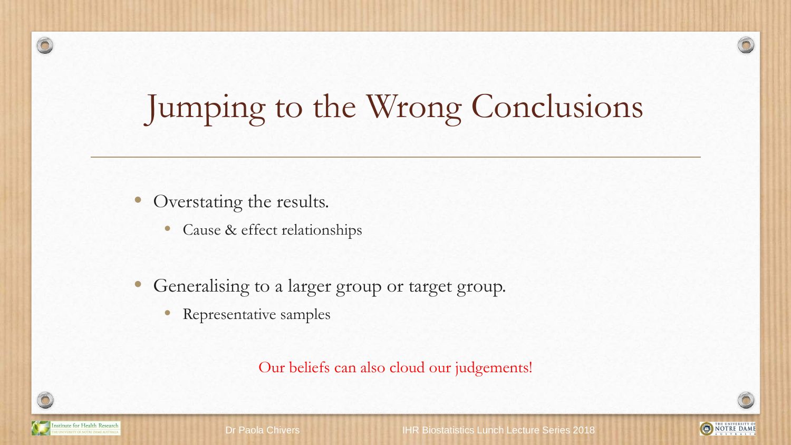# Jumping to the Wrong Conclusions

- Overstating the results.
	- Cause & effect relationships
- Generalising to a larger group or target group.
	- Representative samples

Our beliefs can also cloud our judgements!



 $\circledcirc$ 



Dr Paola Chivers **IHR Biostatistics Lunch Lecture Series 2018** 

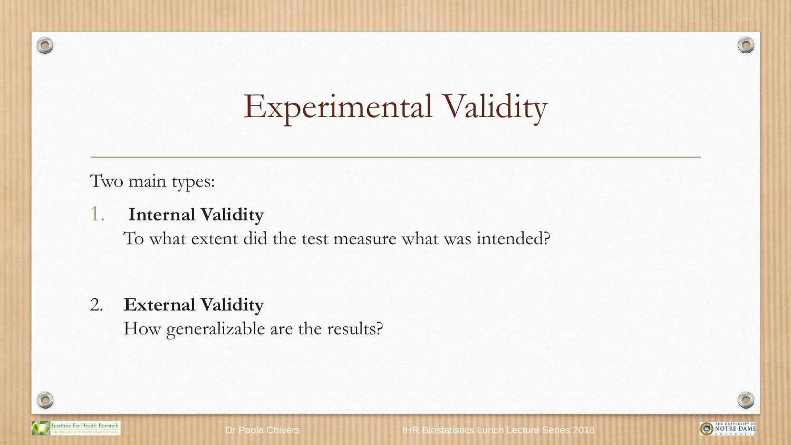# Experimental Validity

Two main types:

#### 1. **Internal Validity**

To what extent did the test measure what was intended?

#### 2. **External Validity**

How generalizable are the results?



 $\circledcirc$ 





C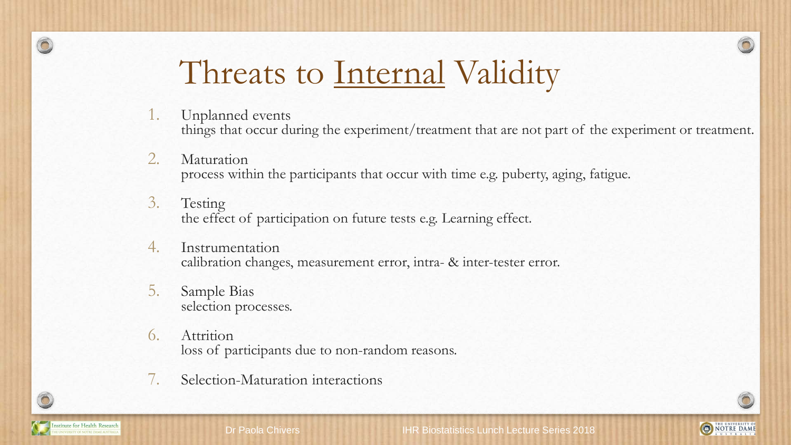# Threats to Internal Validity

- 1. Unplanned events things that occur during the experiment/treatment that are not part of the experiment or treatment.
- 2. Maturation process within the participants that occur with time e.g. puberty, aging, fatigue.
- 3. Testing the effect of participation on future tests e.g. Learning effect.
- 4. Instrumentation calibration changes, measurement error, intra- & inter-tester error.
- 5. Sample Bias selection processes.
- 6. Attrition loss of participants due to non-random reasons.
- 7. Selection-Maturation interactions





 $\bigcirc$ 

Dr Paola Chivers **IHR Biostatistics Lunch Lecture Series 2018**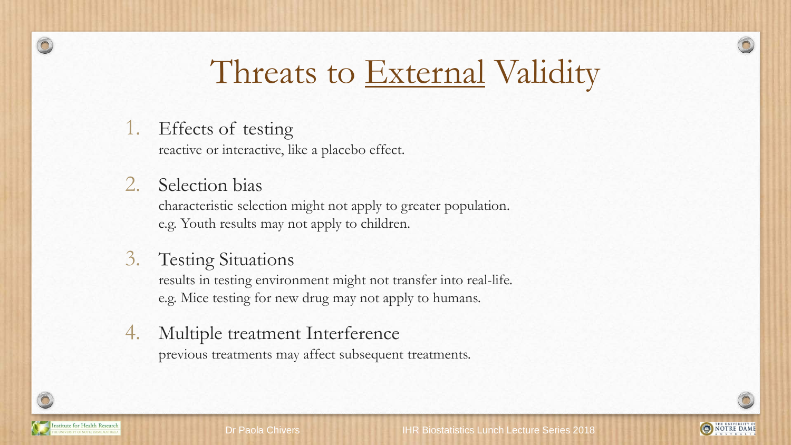# Threats to External Validity

1. Effects of testing

reactive or interactive, like a placebo effect.

#### 2. Selection bias

characteristic selection might not apply to greater population. e.g. Youth results may not apply to children.

#### 3. Testing Situations

results in testing environment might not transfer into real-life. e.g. Mice testing for new drug may not apply to humans.

#### 4. Multiple treatment Interference

previous treatments may affect subsequent treatments.





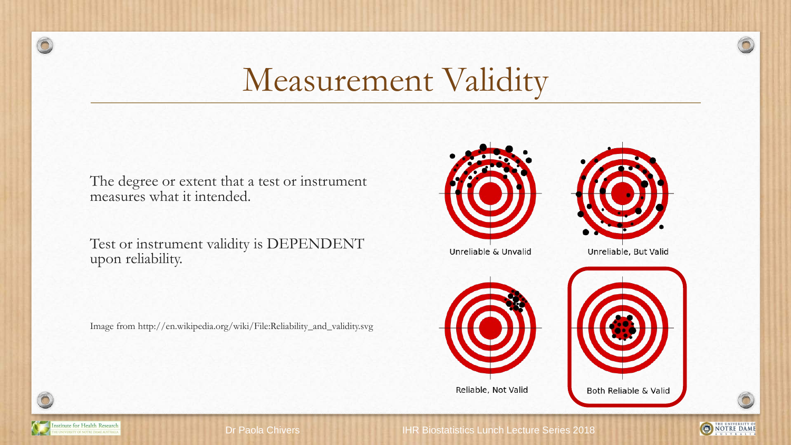# Measurement Validity

The degree or extent that a test or instrument measures what it intended.

Test or instrument validity is DEPENDENT upon reliability.

Image from http://en.wikipedia.org/wiki/File:Reliability\_and\_validity.svg





 $\circledcirc$ 



Dr Paola Chivers **IHR Biostatistics Lunch Lecture Series 2018** 

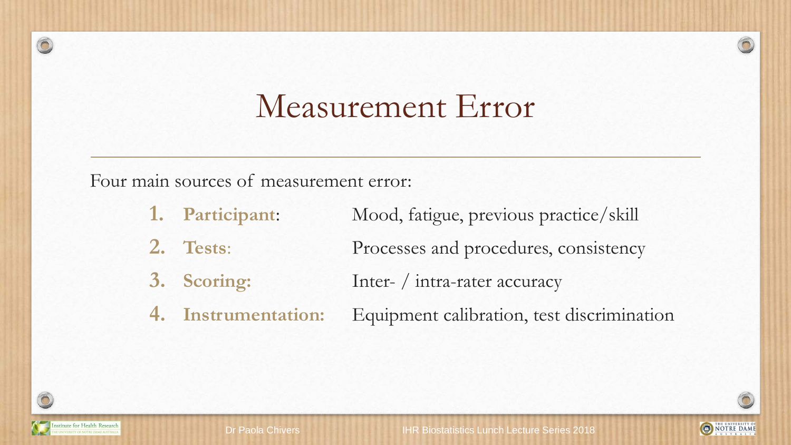## Measurement Error

Four main sources of measurement error:

- **1. Participant**: Mood, fatigue, previous practice/skill
- **2. Tests**: Processes and procedures, consistency
- **3. Scoring:** Inter- / intra-rater accuracy
- **4. Instrumentation:** Equipment calibration, test discrimination



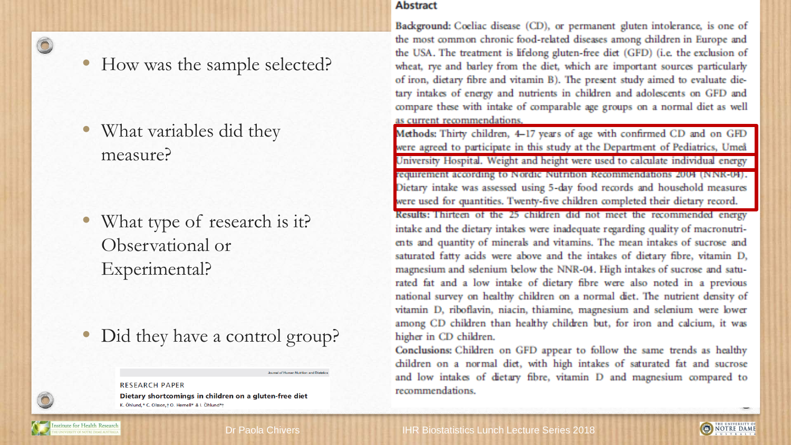

• How was the sample selected?

What variables did they measure?

What type of research is it? Observational or Experimental?

• Did they have a control group?

#### **RESEARCH PAPER**

Dietary shortcomings in children on a gluten-free diet K. Öhlund,\* C. Olsson,† O. Hernell\* & I. Öhlund\*†

#### **Abstract**

Background: Coeliac disease (CD), or permanent gluten intolerance, is one of the most common chronic food-related diseases among children in Europe and the USA. The treatment is lifelong gluten-free diet (GFD) (i.e. the exclusion of wheat, rye and barley from the diet, which are important sources particularly of iron, dietary fibre and vitamin B). The present study aimed to evaluate dietary intakes of energy and nutrients in children and adolescents on GFD and compare these with intake of comparable age groups on a normal diet as well as current recommendations.

Methods: Thirty children, 4-17 years of age with confirmed CD and on GFD were agreed to participate in this study at the Department of Pediatrics, Umeå University Hospital. Weight and height were used to calculate individual energy requirement according to Nordic Nutrition Recommendations 2004 (NNR-04). Dietary intake was assessed using 5-day food records and household measures were used for quantities. Twenty-five children completed their dietary record. Results: Thirteen of the 25 children did not meet the recommended energy intake and the dietary intakes were inadequate regarding quality of macronutri-

ents and quantity of minerals and vitamins. The mean intakes of sucrose and saturated fatty acids were above and the intakes of dietary fibre, vitamin D, magnesium and selenium below the NNR-04. High intakes of sucrose and saturated fat and a low intake of dietary fibre were also noted in a previous national survey on healthy children on a normal diet. The nutrient density of vitamin D, riboflavin, niacin, thiamine, magnesium and selenium were lower among CD children than healthy children but, for iron and calcium, it was higher in CD children.

Conclusions: Children on GFD appear to follow the same trends as healthy children on a normal diet, with high intakes of saturated fat and sucrose and low intakes of dietary fibre, vitamin D and magnesium compared to recommendations.

ute for Health Research

burnal of Human Nutrition and Dietetic

Dr Paola Chivers IHR Biostatistics Lunch Lecture Series 2018

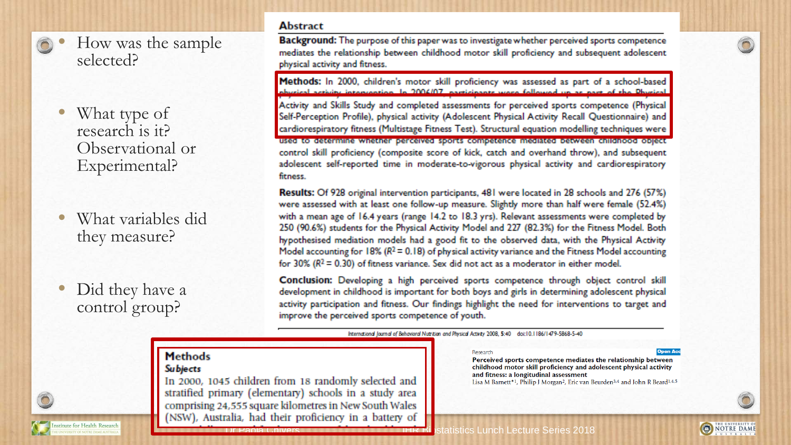

• How was the sample selected?

- What type of research is it? Observational or Experimental?
- What variables did they measure?
- Did they have a control group?

ute for Health Research

**Abstract** 

Background: The purpose of this paper was to investigate whether perceived sports competence mediates the relationship between childhood motor skill proficiency and subsequent adolescent physical activity and fitness.

Methods: In 2000, children's motor skill proficiency was assessed as part of a school-based physical activity interpretation. In 2004/07, participants were followed up as next of the Physical Activity and Skills Study and completed assessments for perceived sports competence (Physical Self-Perception Profile), physical activity (Adolescent Physical Activity Recall Questionnaire) and cardiorespiratory fitness (Multistage Fitness Test). Structural equation modelling techniques were used to decembre whether geneaved spons ompetative mediated denvers formal population control skill proficiency (composite score of kick, catch and overhand throw), and subsequent adolescent self-reported time in moderate-to-vigorous physical activity and cardiorespiratory fitness.

Results: Of 928 original intervention participants, 481 were located in 28 schools and 276 (57%) were assessed with at least one follow-up measure. Slightly more than half were female (52.4%) with a mean age of 16.4 years (range 14.2 to 18.3 yrs). Relevant assessments were completed by 250 (90.6%) students for the Physical Activity Model and 227 (82.3%) for the Fitness Model. Both hypothesised mediation models had a good fit to the observed data, with the Physical Activity Model accounting for 18% ( $R^2$  = 0.18) of physical activity variance and the Fitness Model accounting for  $30\%$  ( $R^2$  = 0.30) of fitness variance. Sex did not act as a moderator in either model.

Conclusion: Developing a high perceived sports competence through object control skill development in childhood is important for both boys and girls in determining adolescent physical activity participation and fitness. Our findings highlight the need for interventions to target and improve the perceived sports competence of youth.

Research

International Journal of Behavioral Nutrition and Physical Activity 2008, 5:40 doi:10.1186/1479-5868-5-40

#### Methods **Subjects**

In 2000, 1045 children from 18 randomly selected and stratified primary (elementary) schools in a study area comprising 24,555 square kilometres in New South Wales (NSW), Australia, had their proficiency in a battery of

#### **Open Acc**

Perceived sports competence mediates the relationship between childhood motor skill proficiency and adolescent physical activity and fitness: a longitudinal assessment Lisa M Barnett\*1, Philip J Morgan<sup>2</sup>, Eric van Beurden<sup>3,4</sup> and John R Beard<sup>1,4,5</sup>

tatistics Lunch Lecture Series 2018

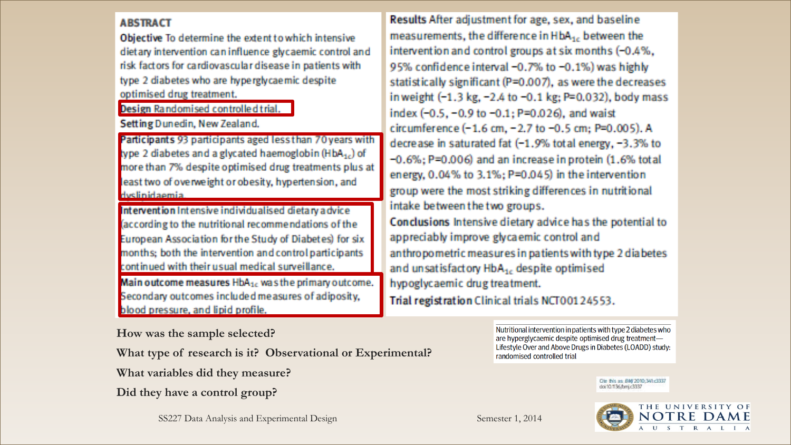#### **ABSTRACT**

Objective To determine the extent to which intensive dietary intervention can influence glycaemic control and risk factors for cardiovascular disease in patients with type 2 diabetes who are hyperglycaemic despite optimised drug treatment.

Design Randomised controlled trial.

Setting Dunedin, New Zealand.

Participants 93 participants aged less than 70 years with type 2 diabetes and a glycated haemoglobin (HbA<sub>1c</sub>) of more than 7% despite optimised drug treatments plus at least two of overweight or obesity, hypertension, and dvelinidaemia

Intervention Intensive individualised dietary advice according to the nutritional recommendations of the European Association for the Study of Diabetes) for six months: both the intervention and control participants continued with their usual medical surveillance.

Main outcome measures HbA<sub>1c</sub> was the primary outcome. Secondary outcomes included measures of adiposity, blood pressure, and lipid profile.

Results After adjustment for age, sex, and baseline measurements, the difference in HbA<sub>1c</sub> between the intervention and control groups at six months (-0.4%, 95% confidence interval -0.7% to -0.1%) was highly statistically significant (P=0.007), as were the decreases in weight (-1.3 kg, -2.4 to -0.1 kg; P=0.032), body mass index (-0.5, -0.9 to -0.1; P=0.026), and waist circumference (-1.6 cm, -2.7 to -0.5 cm; P=0.005). A decrease in saturated fat (-1.9% total energy, -3.3% to  $-0.6\%$ ; P=0.006) and an increase in protein  $(1.6\%$  total energy, 0.04% to 3.1%; P=0.045) in the intervention group were the most striking differences in nutritional intake between the two groups. Conclusions Intensive dietary advice has the potential to appreciably improve glycaemic control and anthropometric measures in patients with type 2 diabetes and unsatisfactory HbA<sub>1c</sub> despite optimised hypoglycaemic drug treatment.

Trial registration Clinical trials NCT00124553.

**How was the sample selected?**

**What type of research is it? Observational or Experimental?**

**What variables did they measure?**

**Did they have a control group?**

SS227 Data Analysis and Experimental Design Semester 1, 2014

Nutritional intervention in patients with type 2 diabetes who are hyperglycaemic despite optimised drug treatment-Lifestyle Over and Above Drugs in Diabetes (LOADD) study: randomised controlled trial

> Ole this as: BMI 2010-341-3337 doi:10.1136/bmj.c3337

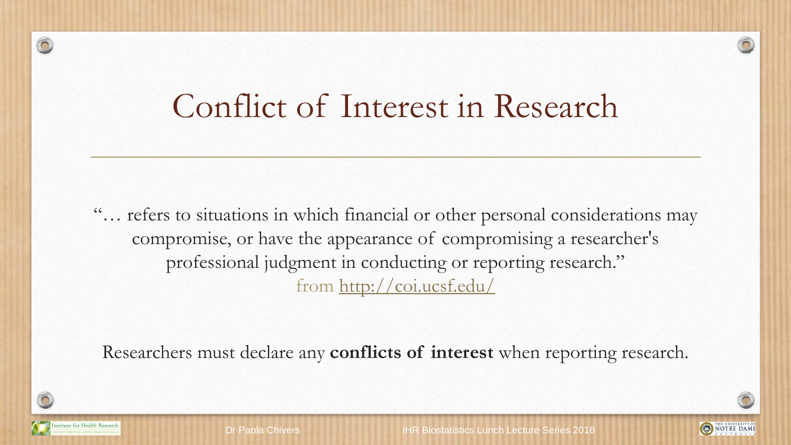# Conflict of Interest in Research

"… refers to situations in which financial or other personal considerations may compromise, or have the appearance of compromising a researcher's professional judgment in conducting or reporting research." from <http://coi.ucsf.edu/>

Researchers must declare any **conflicts of interest** when reporting research.



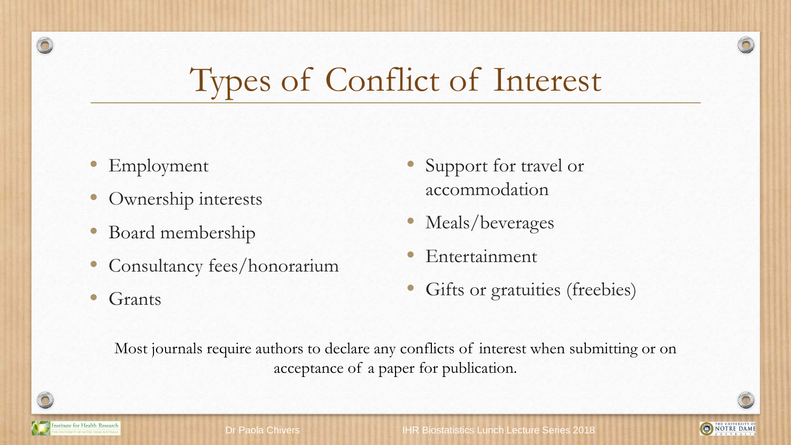

# Types of Conflict of Interest

- Employment
- Ownership interests
- Board membership
- Consultancy fees/honorarium
- **Grants**
- Support for travel or accommodation
- Meals/beverages
- **Entertainment**
- Gifts or gratuities (freebies)

Most journals require authors to declare any conflicts of interest when submitting or on acceptance of a paper for publication.





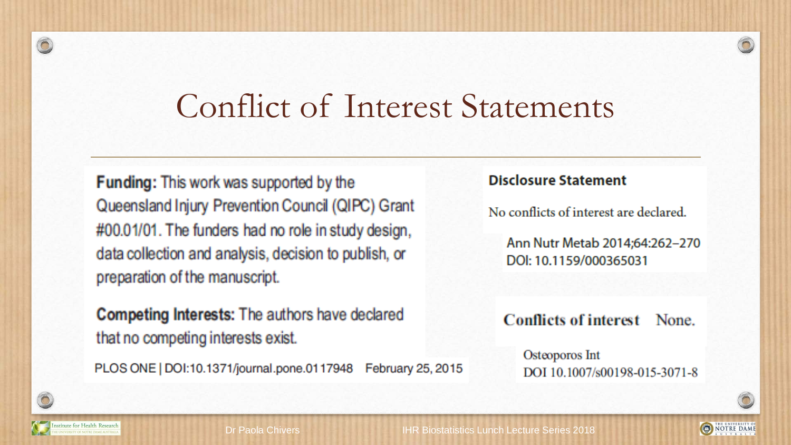## Conflict of Interest Statements

Funding: This work was supported by the Queensland Injury Prevention Council (QIPC) Grant #00.01/01. The funders had no role in study design, data collection and analysis, decision to publish, or preparation of the manuscript.

**Competing Interests:** The authors have declared that no competing interests exist.

PLOS ONE | DOI:10.1371/journal.pone.0117948 **February 25, 2015** 

#### **Disclosure Statement**

No conflicts of interest are declared.

Ann Nutr Metab 2014;64:262-270 DOI: 10.1159/000365031

#### **Conflicts of interest** None.

Osteoporos Int DOI 10.1007/s00198-015-3071-8



NOTRE DAME

G

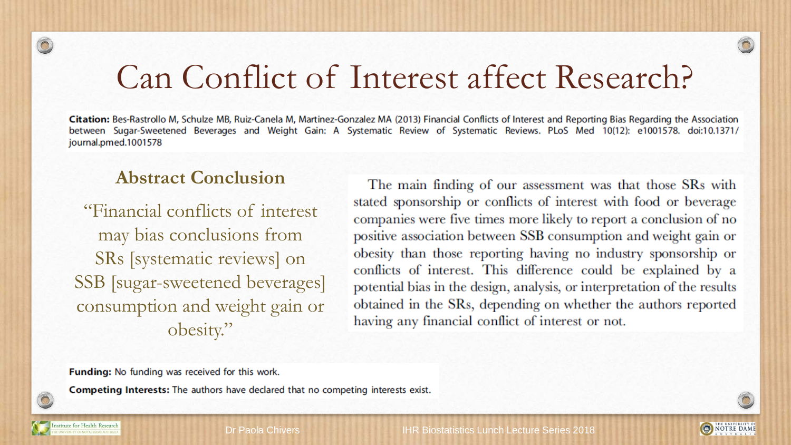## Can Conflict of Interest affect Research?

Citation: Bes-Rastrollo M, Schulze MB, Ruiz-Canela M, Martinez-Gonzalez MA (2013) Financial Conflicts of Interest and Reporting Bias Regarding the Association between Sugar-Sweetened Beverages and Weight Gain: A Systematic Review of Systematic Reviews. PLoS Med 10(12): e1001578. doi:10.1371/ journal.pmed.1001578

#### **Abstract Conclusion**

"Financial conflicts of interest may bias conclusions from SRs [systematic reviews] on SSB [sugar-sweetened beverages] consumption and weight gain or obesity."

The main finding of our assessment was that those SRs with stated sponsorship or conflicts of interest with food or beverage companies were five times more likely to report a conclusion of no positive association between SSB consumption and weight gain or obesity than those reporting having no industry sponsorship or conflicts of interest. This difference could be explained by a potential bias in the design, analysis, or interpretation of the results obtained in the SRs, depending on whether the authors reported having any financial conflict of interest or not.

Funding: No funding was received for this work.

Competing Interests: The authors have declared that no competing interests exist.

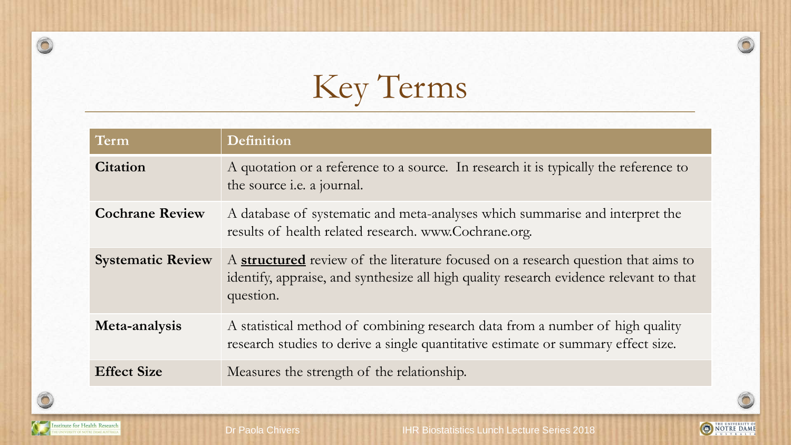# Key Terms

| Term                     | Definition                                                                                                                                                                                      |
|--------------------------|-------------------------------------------------------------------------------------------------------------------------------------------------------------------------------------------------|
| <b>Citation</b>          | A quotation or a reference to a source. In research it is typically the reference to<br>the source <i>i.e.</i> a journal.                                                                       |
| <b>Cochrane Review</b>   | A database of systematic and meta-analyses which summarise and interpret the<br>results of health related research. www.Cochrane.org.                                                           |
| <b>Systematic Review</b> | A <b>structured</b> review of the literature focused on a research question that aims to<br>identify, appraise, and synthesize all high quality research evidence relevant to that<br>question. |
| Meta-analysis            | A statistical method of combining research data from a number of high quality<br>research studies to derive a single quantitative estimate or summary effect size.                              |
| <b>Effect Size</b>       | Measures the strength of the relationship.                                                                                                                                                      |
|                          |                                                                                                                                                                                                 |



 $\circledcirc$ 



Dr Paola Chivers **INGLES** IHR Biostatistics Lunch Lecture Series 2018



 $\odot$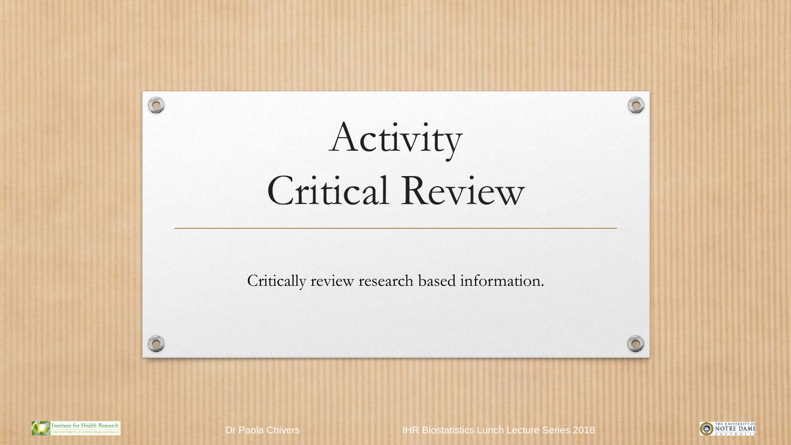$\circledcirc$  $\odot$ Activity Critical Review Critically review research based information.



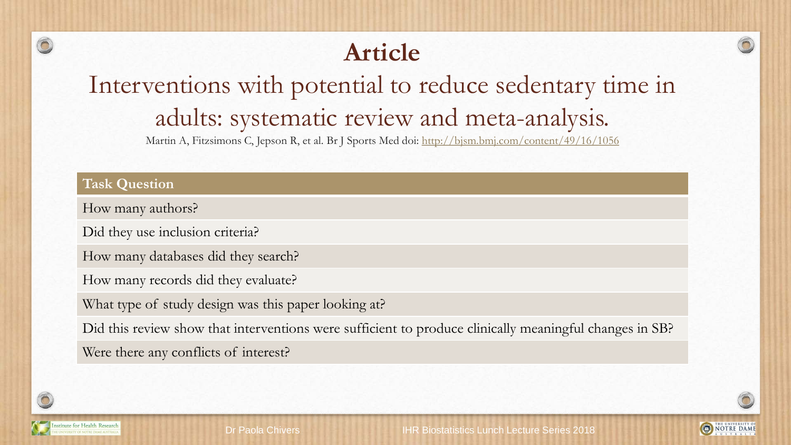### Interventions with potential to reduce sedentary time in adults: systematic review and meta-analysis.

Martin A, Fitzsimons C, Jepson R, et al. Br J Sports Med doi: <http://bjsm.bmj.com/content/49/16/1056>

#### **Task Question**

How many authors?

Did they use inclusion criteria?

How many databases did they search?

How many records did they evaluate?

What type of study design was this paper looking at?

Did this review show that interventions were sufficient to produce clinically meaningful changes in SB?

Were there any conflicts of interest?



 $\odot$ 



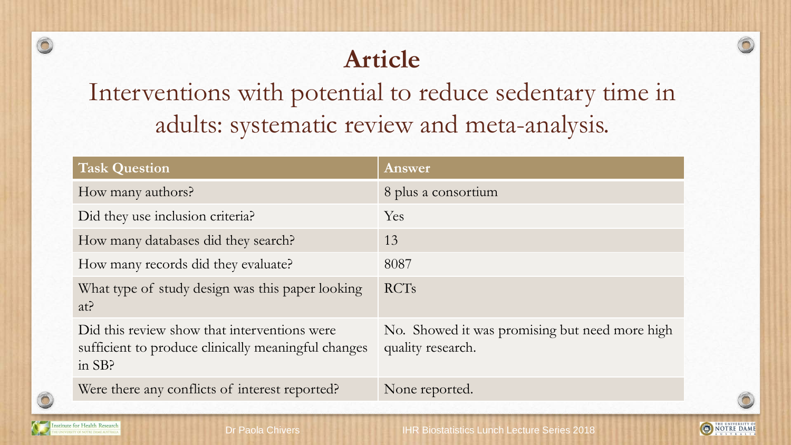$\circledcirc$ 

Interventions with potential to reduce sedentary time in adults: systematic review and meta-analysis.

| <b>Task Question</b>                                                                                             | <b>Answer</b>                                                       |
|------------------------------------------------------------------------------------------------------------------|---------------------------------------------------------------------|
| How many authors?                                                                                                | 8 plus a consortium                                                 |
| Did they use inclusion criteria?                                                                                 | Yes                                                                 |
| How many databases did they search?                                                                              | 13                                                                  |
| How many records did they evaluate?                                                                              | 8087                                                                |
| What type of study design was this paper looking<br>at?                                                          | <b>RCTs</b>                                                         |
| Did this review show that interventions were<br>sufficient to produce clinically meaningful changes<br>in $SB$ ? | No. Showed it was promising but need more high<br>quality research. |
| Were there any conflicts of interest reported?                                                                   | None reported.                                                      |
| <b>Dr Paola Chivers</b><br>Y OF NOTRE DAME AUSTRALL                                                              | <b>IHR Biostatistics Lunch Lecture Series 2018</b>                  |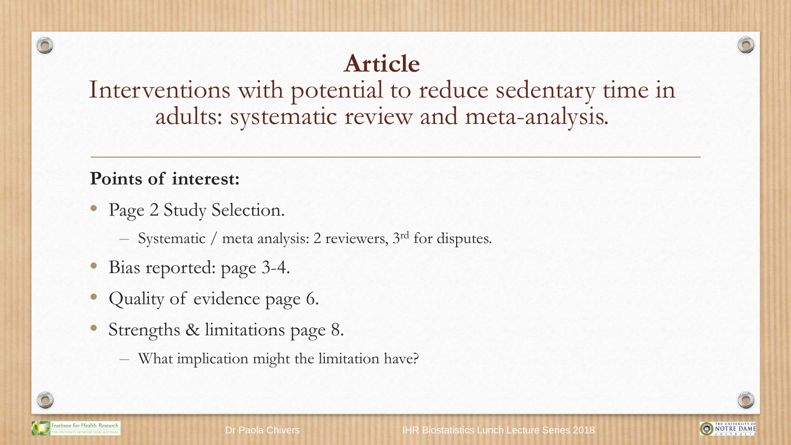Interventions with potential to reduce sedentary time in adults: systematic review and meta-analysis.

#### **Points of interest:**

- Page 2 Study Selection.
	- Systematic / meta analysis: 2 reviewers, 3rd for disputes.
- Bias reported: page 3-4.
- Quality of evidence page 6.
- Strengths & limitations page 8.
	- What implication might the limitation have?





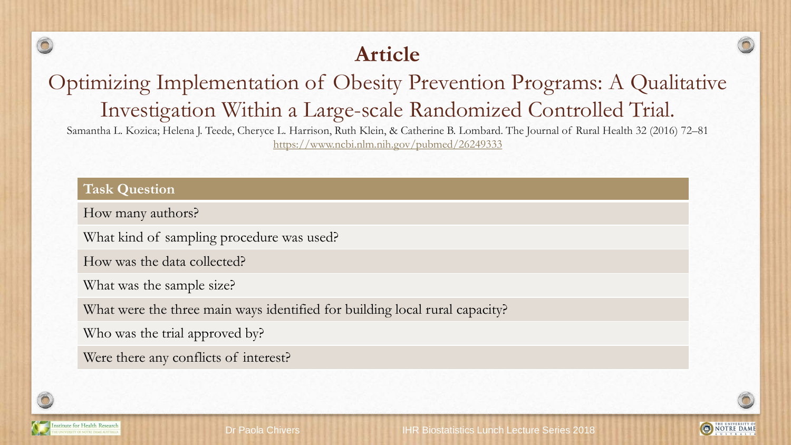### Optimizing Implementation of Obesity Prevention Programs: A Qualitative Investigation Within a Large-scale Randomized Controlled Trial.

Samantha L. Kozica; Helena J. Teede, Cheryce L. Harrison, Ruth Klein, & Catherine B. Lombard. The Journal of Rural Health 32 (2016) 72–81 <https://www.ncbi.nlm.nih.gov/pubmed/26249333>

#### **Task Question**

How many authors?

What kind of sampling procedure was used?

How was the data collected?

What was the sample size?

What were the three main ways identified for building local rural capacity?

Who was the trial approved by?

Were there any conflicts of interest?





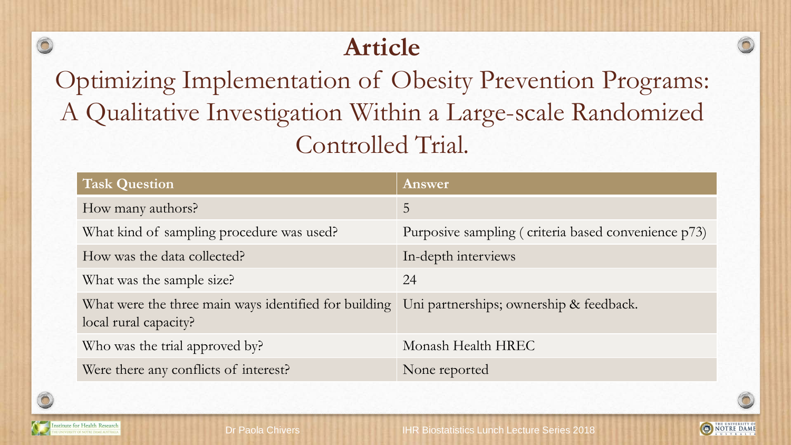Optimizing Implementation of Obesity Prevention Programs: A Qualitative Investigation Within a Large-scale Randomized Controlled Trial.

| <b>Task Question</b>                                                           | <b>Answer</b>                                       |
|--------------------------------------------------------------------------------|-----------------------------------------------------|
| How many authors?                                                              | 5                                                   |
| What kind of sampling procedure was used?                                      | Purposive sampling (criteria based convenience p73) |
| How was the data collected?                                                    | In-depth interviews                                 |
| What was the sample size?                                                      | 24                                                  |
| What were the three main ways identified for building<br>local rural capacity? | Uni partnerships; ownership & feedback.             |
| Who was the trial approved by?                                                 | Monash Health HREC                                  |
| Were there any conflicts of interest?                                          | None reported                                       |



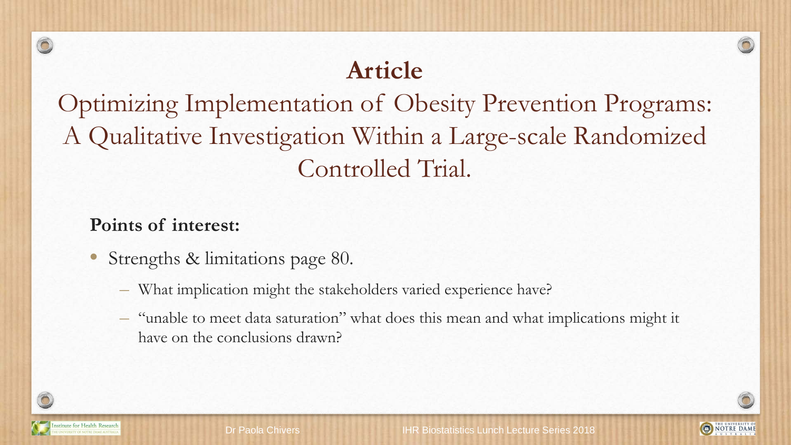Optimizing Implementation of Obesity Prevention Programs: A Qualitative Investigation Within a Large-scale Randomized Controlled Trial.

#### **Points of interest:**

- Strengths & limitations page 80.
	- What implication might the stakeholders varied experience have?
	- "unable to meet data saturation" what does this mean and what implications might it have on the conclusions drawn?





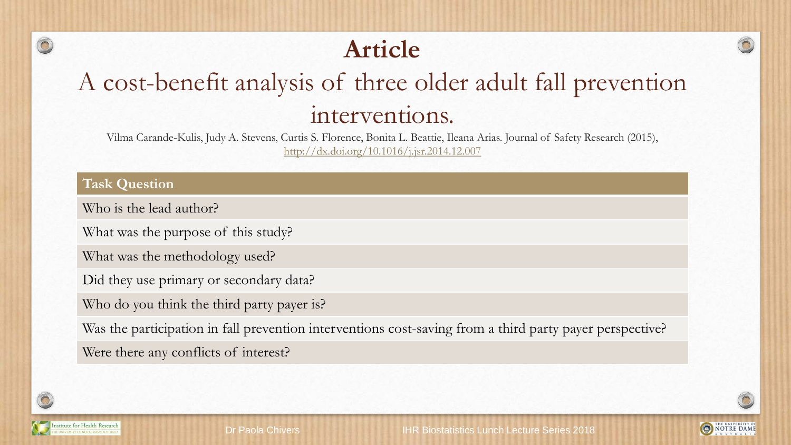### A cost-benefit analysis of three older adult fall prevention interventions.

Vilma Carande-Kulis, Judy A. Stevens, Curtis S. Florence, Bonita L. Beattie, Ileana Arias. Journal of Safety Research (2015), <http://dx.doi.org/10.1016/j.jsr.2014.12.007>

#### **Task Question**

Who is the lead author?

What was the purpose of this study?

What was the methodology used?

Did they use primary or secondary data?

Who do you think the third party payer is?

Was the participation in fall prevention interventions cost-saving from a third party payer perspective?

Were there any conflicts of interest?





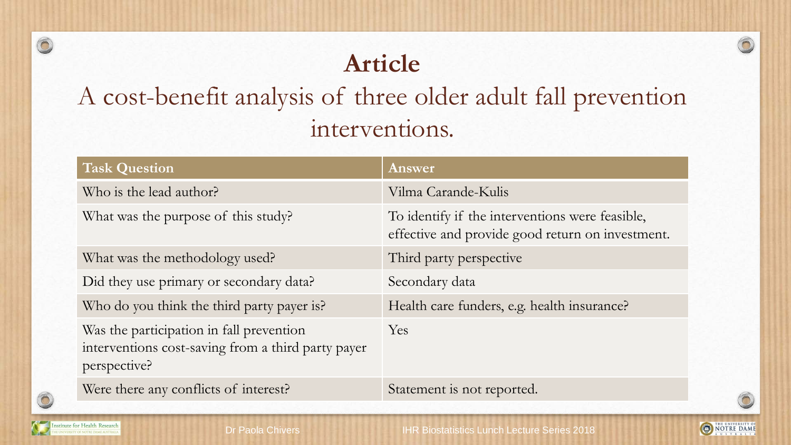### A cost-benefit analysis of three older adult fall prevention interventions.

| <b>Task Question</b>                                                                                           | Answer                                                                                              |
|----------------------------------------------------------------------------------------------------------------|-----------------------------------------------------------------------------------------------------|
| Who is the lead author?                                                                                        | Vilma Carande-Kulis                                                                                 |
| What was the purpose of this study?                                                                            | To identify if the interventions were feasible,<br>effective and provide good return on investment. |
| What was the methodology used?                                                                                 | Third party perspective                                                                             |
| Did they use primary or secondary data?                                                                        | Secondary data                                                                                      |
| Who do you think the third party payer is?                                                                     | Health care funders, e.g. health insurance?                                                         |
| Was the participation in fall prevention<br>interventions cost-saving from a third party payer<br>perspective? | Yes                                                                                                 |
| Were there any conflicts of interest?                                                                          | Statement is not reported.                                                                          |



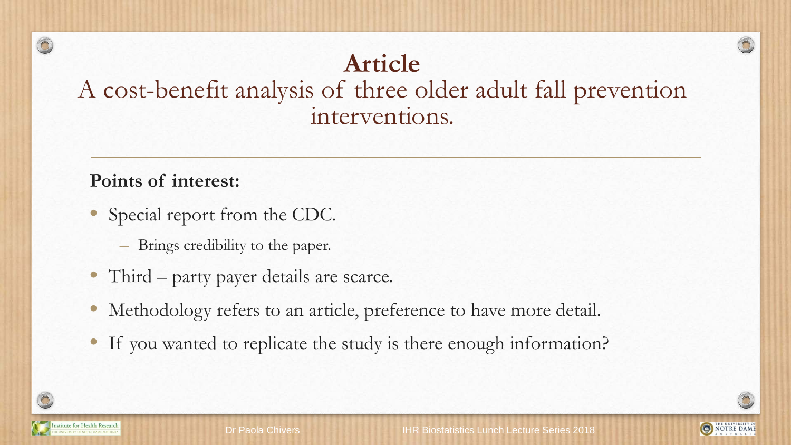### **Article** A cost-benefit analysis of three older adult fall prevention interventions.

#### **Points of interest:**

- Special report from the CDC.
	- Brings credibility to the paper.
- Third party payer details are scarce.
- Methodology refers to an article, preference to have more detail.
- If you wanted to replicate the study is there enough information?





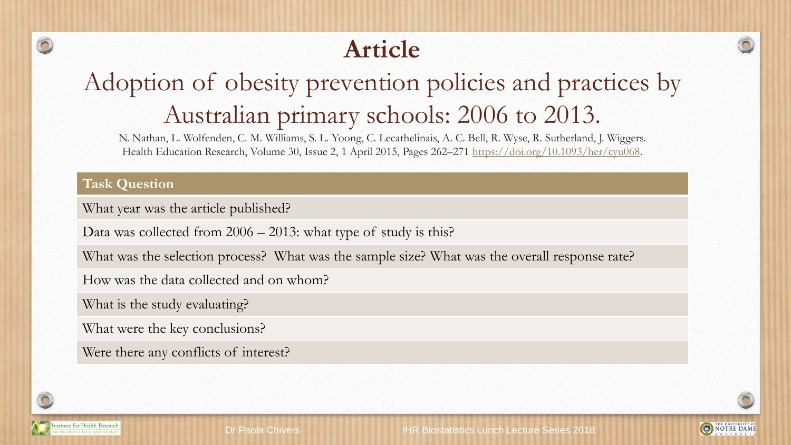### Adoption of obesity prevention policies and practices by Australian primary schools: 2006 to 2013.

N. Nathan, L. Wolfenden, C. M. Williams, S. L. Yoong, C. Lecathelinais, A. C. Bell, R. Wyse, R. Sutherland, J. Wiggers. Health Education Research, Volume 30, Issue 2, 1 April 2015, Pages 262–271 [https://doi.org/10.1093/her/cyu068.](https://doi.org/10.1093/her/cyu068)

#### **Task Question**

What year was the article published?

Data was collected from 2006 – 2013: what type of study is this?

What was the selection process? What was the sample size? What was the overall response rate?

How was the data collected and on whom?

What is the study evaluating?

What were the key conclusions?

Were there any conflicts of interest?



 $\odot$ 



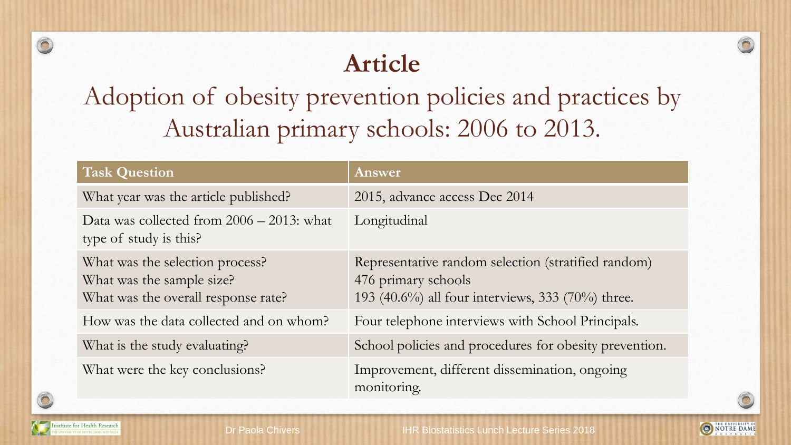Adoption of obesity prevention policies and practices by Australian primary schools: 2006 to 2013.

| <b>Task Question</b>                                                                                | <b>Answer</b>                                                                                                                   |
|-----------------------------------------------------------------------------------------------------|---------------------------------------------------------------------------------------------------------------------------------|
| What year was the article published?                                                                | 2015, advance access Dec 2014                                                                                                   |
| Data was collected from $2006 - 2013$ : what<br>type of study is this?                              | Longitudinal                                                                                                                    |
| What was the selection process?<br>What was the sample size?<br>What was the overall response rate? | Representative random selection (stratified random)<br>476 primary schools<br>193 (40.6%) all four interviews, 333 (70%) three. |
| How was the data collected and on whom?                                                             | Four telephone interviews with School Principals.                                                                               |
| What is the study evaluating?                                                                       | School policies and procedures for obesity prevention.                                                                          |
| What were the key conclusions?                                                                      | Improvement, different dissemination, ongoing<br>monitoring.                                                                    |





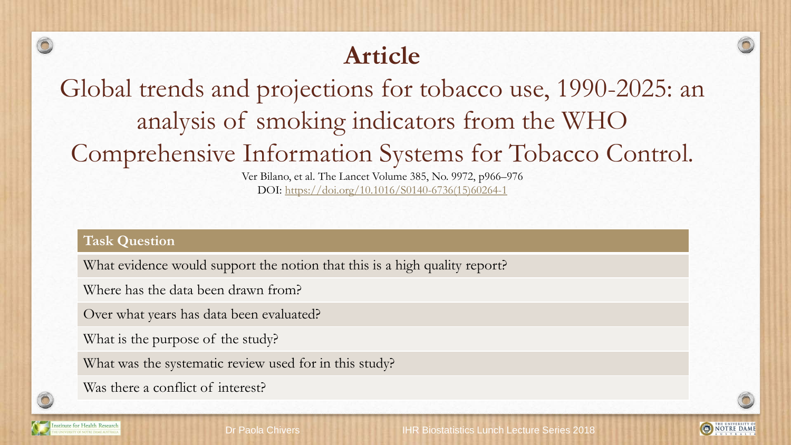### Global trends and projections for tobacco use, 1990-2025: an analysis of smoking indicators from the WHO Comprehensive Information Systems for Tobacco Control.

Ver Bilano, et al. The Lancet Volume 385, No. 9972, p966–976 DOI: [https://doi.org/10.1016/S0140-6736\(15\)60264-1](https://doi.org/10.1016/S0140-6736(15)60264-1)

#### **Task Question**

What evidence would support the notion that this is a high quality report?

Where has the data been drawn from?

Over what years has data been evaluated?

What is the purpose of the study?

What was the systematic review used for in this study?

Was there a conflict of interest?





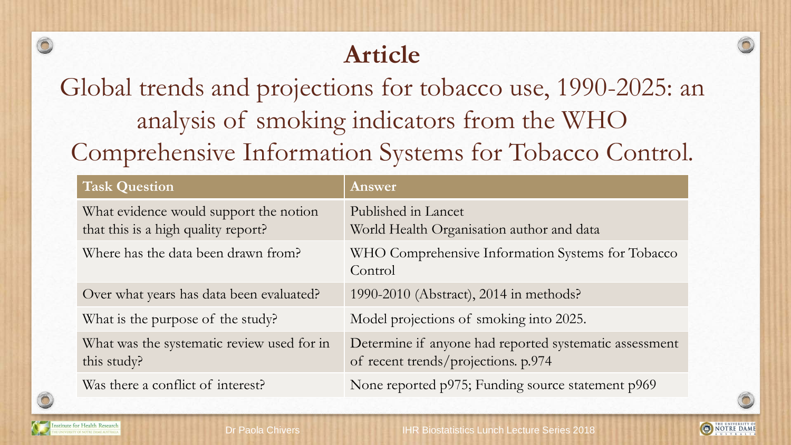Global trends and projections for tobacco use, 1990-2025: an analysis of smoking indicators from the WHO Comprehensive Information Systems for Tobacco Control.

| <b>Task Question</b>                                                          | <b>Answer</b>                                                                                 |
|-------------------------------------------------------------------------------|-----------------------------------------------------------------------------------------------|
| What evidence would support the notion<br>that this is a high quality report? | Published in Lancet<br>World Health Organisation author and data                              |
| Where has the data been drawn from?                                           | WHO Comprehensive Information Systems for Tobacco<br>Control                                  |
| Over what years has data been evaluated?                                      | 1990-2010 (Abstract), 2014 in methods?                                                        |
| What is the purpose of the study?                                             | Model projections of smoking into 2025.                                                       |
| What was the systematic review used for in<br>this study?                     | Determine if anyone had reported systematic assessment<br>of recent trends/projections. p.974 |
| Was there a conflict of interest?                                             | None reported p975; Funding source statement p969                                             |



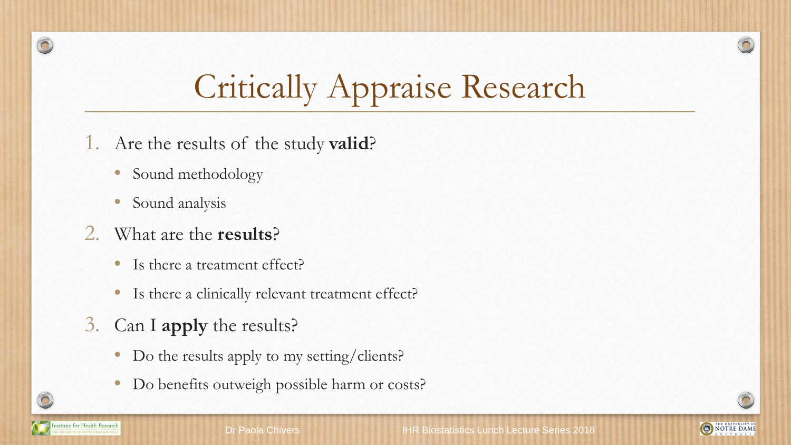# Critically Appraise Research

- 1. Are the results of the study **valid**?
	- Sound methodology
	- Sound analysis
- 2. What are the **results**?
	- Is there a treatment effect?
	- Is there a clinically relevant treatment effect?
- 3. Can I **apply** the results?
	- Do the results apply to my setting/clients?
	- Do benefits outweigh possible harm or costs?